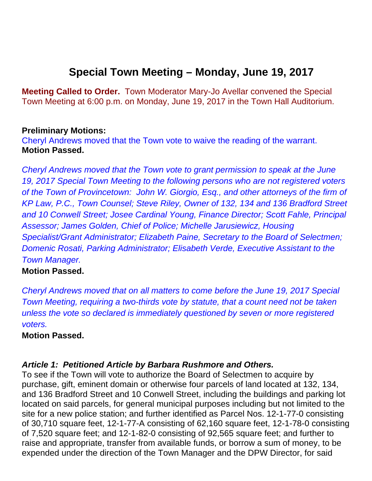# **Special Town Meeting – Monday, June 19, 2017**

**Meeting Called to Order.** Town Moderator Mary-Jo Avellar convened the Special Town Meeting at 6:00 p.m. on Monday, June 19, 2017 in the Town Hall Auditorium.

## **Preliminary Motions:**

Cheryl Andrews moved that the Town vote to waive the reading of the warrant. **Motion Passed.** 

*Cheryl Andrews moved that the Town vote to grant permission to speak at the June 19, 2017 Special Town Meeting to the following persons who are not registered voters of the Town of Provincetown: John W. Giorgio, Esq., and other attorneys of the firm of KP Law, P.C., Town Counsel; Steve Riley, Owner of 132, 134 and 136 Bradford Street and 10 Conwell Street; Josee Cardinal Young, Finance Director; Scott Fahle, Principal Assessor; James Golden, Chief of Police; Michelle Jarusiewicz, Housing Specialist/Grant Administrator; Elizabeth Paine, Secretary to the Board of Selectmen; Domenic Rosati, Parking Administrator; Elisabeth Verde, Executive Assistant to the Town Manager.* 

# **Motion Passed.**

*Cheryl Andrews moved that on all matters to come before the June 19, 2017 Special Town Meeting, requiring a two-thirds vote by statute, that a count need not be taken unless the vote so declared is immediately questioned by seven or more registered voters.* 

## **Motion Passed.**

## *Article 1: Petitioned Article by Barbara Rushmore and Others.*

To see if the Town will vote to authorize the Board of Selectmen to acquire by purchase, gift, eminent domain or otherwise four parcels of land located at 132, 134, and 136 Bradford Street and 10 Conwell Street, including the buildings and parking lot located on said parcels, for general municipal purposes including but not limited to the site for a new police station; and further identified as Parcel Nos. 12-1-77-0 consisting of 30,710 square feet, 12-1-77-A consisting of 62,160 square feet, 12-1-78-0 consisting of 7,520 square feet; and 12-1-82-0 consisting of 92,565 square feet; and further to raise and appropriate, transfer from available funds, or borrow a sum of money, to be expended under the direction of the Town Manager and the DPW Director, for said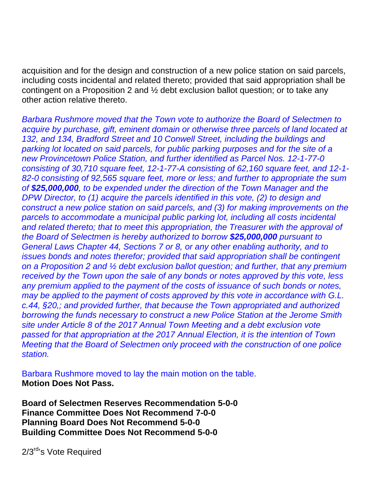acquisition and for the design and construction of a new police station on said parcels, including costs incidental and related thereto; provided that said appropriation shall be contingent on a Proposition 2 and ½ debt exclusion ballot question; or to take any other action relative thereto.

*Barbara Rushmore moved that the Town vote to authorize the Board of Selectmen to acquire by purchase, gift, eminent domain or otherwise three parcels of land located at 132, and 134, Bradford Street and 10 Conwell Street, including the buildings and parking lot located on said parcels, for public parking purposes and for the site of a new Provincetown Police Station, and further identified as Parcel Nos. 12-1-77-0 consisting of 30,710 square feet, 12-1-77-A consisting of 62,160 square feet, and 12-1- 82-0 consisting of 92,565 square feet, more or less; and further to appropriate the sum of \$25,000,000, to be expended under the direction of the Town Manager and the DPW Director, to (1) acquire the parcels identified in this vote, (2) to design and construct a new police station on said parcels, and (3) for making improvements on the*  parcels to accommodate a municipal public parking lot, including all costs incidental *and related thereto; that to meet this appropriation, the Treasurer with the approval of the Board of Selectmen is hereby authorized to borrow \$25,000,000 pursuant to General Laws Chapter 44, Sections 7 or 8, or any other enabling authority, and to issues bonds and notes therefor; provided that said appropriation shall be contingent on a Proposition 2 and ½ debt exclusion ballot question; and further, that any premium received by the Town upon the sale of any bonds or notes approved by this vote, less any premium applied to the payment of the costs of issuance of such bonds or notes, may be applied to the payment of costs approved by this vote in accordance with G.L. c.44, §20,; and provided further, that because the Town appropriated and authorized borrowing the funds necessary to construct a new Police Station at the Jerome Smith site under Article 8 of the 2017 Annual Town Meeting and a debt exclusion vote passed for that appropriation at the 2017 Annual Election, it is the intention of Town Meeting that the Board of Selectmen only proceed with the construction of one police station.* 

Barbara Rushmore moved to lay the main motion on the table. **Motion Does Not Pass.** 

**Board of Selectmen Reserves Recommendation 5-0-0 Finance Committee Does Not Recommend 7-0-0 Planning Board Does Not Recommend 5-0-0 Building Committee Does Not Recommend 5-0-0** 

2/3<sup>rd</sup>'s Vote Required